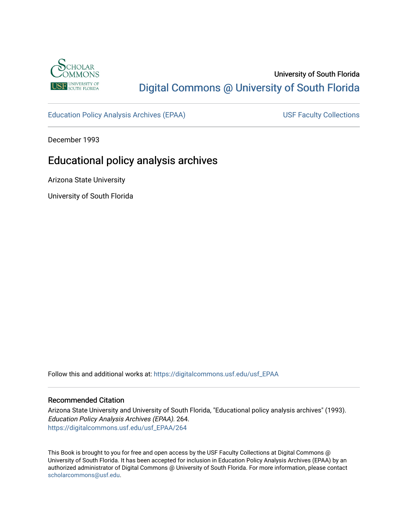

## University of South Florida [Digital Commons @ University of South Florida](https://digitalcommons.usf.edu/)

[Education Policy Analysis Archives \(EPAA\)](https://digitalcommons.usf.edu/usf_EPAA) USF Faculty Collections

December 1993

## Educational policy analysis archives

Arizona State University

University of South Florida

Follow this and additional works at: [https://digitalcommons.usf.edu/usf\\_EPAA](https://digitalcommons.usf.edu/usf_EPAA?utm_source=digitalcommons.usf.edu%2Fusf_EPAA%2F264&utm_medium=PDF&utm_campaign=PDFCoverPages)

#### Recommended Citation

Arizona State University and University of South Florida, "Educational policy analysis archives" (1993). Education Policy Analysis Archives (EPAA). 264. [https://digitalcommons.usf.edu/usf\\_EPAA/264](https://digitalcommons.usf.edu/usf_EPAA/264?utm_source=digitalcommons.usf.edu%2Fusf_EPAA%2F264&utm_medium=PDF&utm_campaign=PDFCoverPages)

This Book is brought to you for free and open access by the USF Faculty Collections at Digital Commons @ University of South Florida. It has been accepted for inclusion in Education Policy Analysis Archives (EPAA) by an authorized administrator of Digital Commons @ University of South Florida. For more information, please contact [scholarcommons@usf.edu.](mailto:scholarcommons@usf.edu)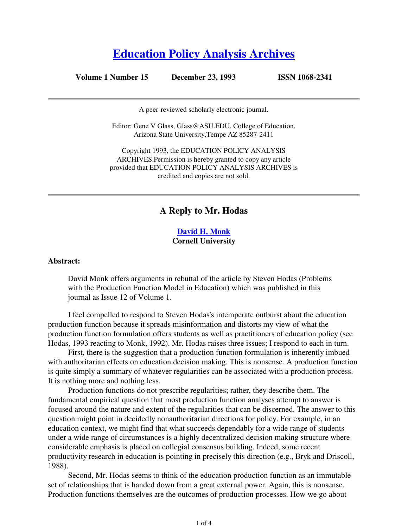# **Education Policy Analysis Archives**

#### **Volume 1 Number 15 December 23, 1993 ISSN 1068-2341**

A peer-reviewed scholarly electronic journal.

Editor: Gene V Glass, Glass@ASU.EDU. College of Education, Arizona State University,Tempe AZ 85287-2411

Copyright 1993, the EDUCATION POLICY ANALYSIS ARCHIVES.Permission is hereby granted to copy any article provided that EDUCATION POLICY ANALYSIS ARCHIVES is credited and copies are not sold.

#### **A Reply to Mr. Hodas**

#### **David H. Monk Cornell University**

#### **Abstract:**

David Monk offers arguments in rebuttal of the article by Steven Hodas (Problems with the Production Function Model in Education) which was published in this journal as Issue 12 of Volume 1.

I feel compelled to respond to Steven Hodas's intemperate outburst about the education production function because it spreads misinformation and distorts my view of what the production function formulation offers students as well as practitioners of education policy (see Hodas, 1993 reacting to Monk, 1992). Mr. Hodas raises three issues; I respond to each in turn.

First, there is the suggestion that a production function formulation is inherently imbued with authoritarian effects on education decision making. This is nonsense. A production function is quite simply a summary of whatever regularities can be associated with a production process. It is nothing more and nothing less.

Production functions do not prescribe regularities; rather, they describe them. The fundamental empirical question that most production function analyses attempt to answer is focused around the nature and extent of the regularities that can be discerned. The answer to this question might point in decidedly nonauthoritarian directions for policy. For example, in an education context, we might find that what succeeds dependably for a wide range of students under a wide range of circumstances is a highly decentralized decision making structure where considerable emphasis is placed on collegial consensus building. Indeed, some recent productivity research in education is pointing in precisely this direction (e.g., Bryk and Driscoll, 1988).

Second, Mr. Hodas seems to think of the education production function as an immutable set of relationships that is handed down from a great external power. Again, this is nonsense. Production functions themselves are the outcomes of production processes. How we go about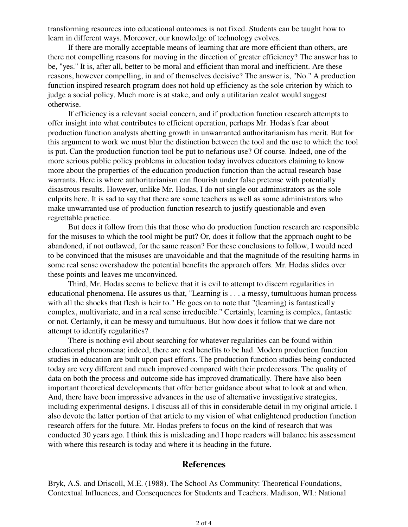transforming resources into educational outcomes is not fixed. Students can be taught how to learn in different ways. Moreover, our knowledge of technology evolves.

If there are morally acceptable means of learning that are more efficient than others, are there not compelling reasons for moving in the direction of greater efficiency? The answer has to be, "yes." It is, after all, better to be moral and efficient than moral and inefficient. Are these reasons, however compelling, in and of themselves decisive? The answer is, "No." A production function inspired research program does not hold up efficiency as the sole criterion by which to judge a social policy. Much more is at stake, and only a utilitarian zealot would suggest otherwise.

If efficiency is a relevant social concern, and if production function research attempts to offer insight into what contributes to efficient operation, perhaps Mr. Hodas's fear about production function analysts abetting growth in unwarranted authoritarianism has merit. But for this argument to work we must blur the distinction between the tool and the use to which the tool is put. Can the production function tool be put to nefarious use? Of course. Indeed, one of the more serious public policy problems in education today involves educators claiming to know more about the properties of the education production function than the actual research base warrants. Here is where authoritarianism can flourish under false pretense with potentially disastrous results. However, unlike Mr. Hodas, I do not single out administrators as the sole culprits here. It is sad to say that there are some teachers as well as some administrators who make unwarranted use of production function research to justify questionable and even regrettable practice.

But does it follow from this that those who do production function research are responsible for the misuses to which the tool might be put? Or, does it follow that the approach ought to be abandoned, if not outlawed, for the same reason? For these conclusions to follow, I would need to be convinced that the misuses are unavoidable and that the magnitude of the resulting harms in some real sense overshadow the potential benefits the approach offers. Mr. Hodas slides over these points and leaves me unconvinced.

Third, Mr. Hodas seems to believe that it is evil to attempt to discern regularities in educational phenomena. He assures us that, "Learning is . . . a messy, tumultuous human process with all the shocks that flesh is heir to." He goes on to note that "(learning) is fantastically complex, multivariate, and in a real sense irreducible." Certainly, learning is complex, fantastic or not. Certainly, it can be messy and tumultuous. But how does it follow that we dare not attempt to identify regularities?

There is nothing evil about searching for whatever regularities can be found within educational phenomena; indeed, there are real benefits to be had. Modern production function studies in education are built upon past efforts. The production function studies being conducted today are very different and much improved compared with their predecessors. The quality of data on both the process and outcome side has improved dramatically. There have also been important theoretical developments that offer better guidance about what to look at and when. And, there have been impressive advances in the use of alternative investigative strategies, including experimental designs. I discuss all of this in considerable detail in my original article. I also devote the latter portion of that article to my vision of what enlightened production function research offers for the future. Mr. Hodas prefers to focus on the kind of research that was conducted 30 years ago. I think this is misleading and I hope readers will balance his assessment with where this research is today and where it is heading in the future.

#### **References**

Bryk, A.S. and Driscoll, M.E. (1988). The School As Community: Theoretical Foundations, Contextual Influences, and Consequences for Students and Teachers. Madison, WI.: National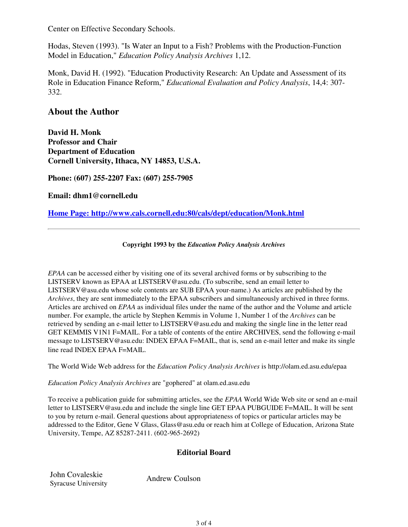Center on Effective Secondary Schools.

Hodas, Steven (1993). "Is Water an Input to a Fish? Problems with the Production-Function Model in Education," *Education Policy Analysis Archives* 1,12.

Monk, David H. (1992). "Education Productivity Research: An Update and Assessment of its Role in Education Finance Reform," *Educational Evaluation and Policy Analysis*, 14,4: 307- 332.

### **About the Author**

**David H. Monk Professor and Chair Department of Education Cornell University, Ithaca, NY 14853, U.S.A.**

**Phone: (607) 255-2207 Fax: (607) 255-7905**

**Email: dhm1@cornell.edu**

**Home Page: http://www.cals.cornell.edu:80/cals/dept/education/Monk.html**

#### **Copyright 1993 by the** *Education Policy Analysis Archives*

*EPAA* can be accessed either by visiting one of its several archived forms or by subscribing to the LISTSERV known as EPAA at LISTSERV@asu.edu. (To subscribe, send an email letter to LISTSERV@asu.edu whose sole contents are SUB EPAA your-name.) As articles are published by the *Archives*, they are sent immediately to the EPAA subscribers and simultaneously archived in three forms. Articles are archived on *EPAA* as individual files under the name of the author and the Volume and article number. For example, the article by Stephen Kemmis in Volume 1, Number 1 of the *Archives* can be retrieved by sending an e-mail letter to LISTSERV@asu.edu and making the single line in the letter read GET KEMMIS V1N1 F=MAIL. For a table of contents of the entire ARCHIVES, send the following e-mail message to LISTSERV@asu.edu: INDEX EPAA F=MAIL, that is, send an e-mail letter and make its single line read INDEX EPAA F=MAIL.

The World Wide Web address for the *Education Policy Analysis Archives* is http://olam.ed.asu.edu/epaa

*Education Policy Analysis Archives* are "gophered" at olam.ed.asu.edu

To receive a publication guide for submitting articles, see the *EPAA* World Wide Web site or send an e-mail letter to LISTSERV@asu.edu and include the single line GET EPAA PUBGUIDE F=MAIL. It will be sent to you by return e-mail. General questions about appropriateness of topics or particular articles may be addressed to the Editor, Gene V Glass, Glass@asu.edu or reach him at College of Education, Arizona State University, Tempe, AZ 85287-2411. (602-965-2692)

#### **Editorial Board**

John Covaleskie Syracuse University<br>Syracuse University